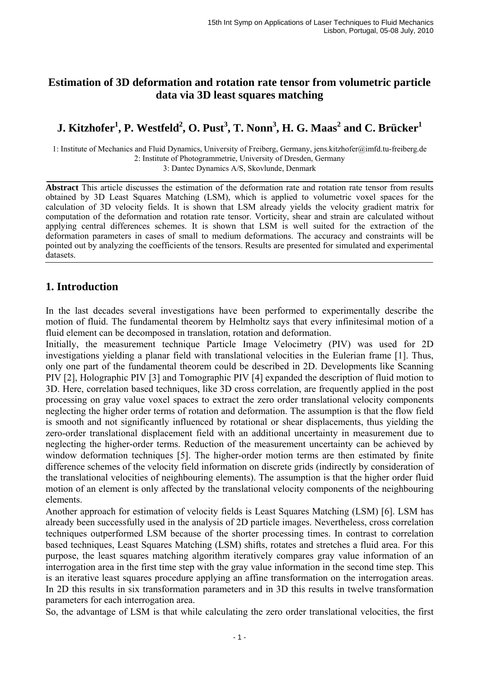### **Estimation of 3D deformation and rotation rate tensor from volumetric particle data via 3D least squares matching**

# **J. Kitzhofer1 , P. Westfeld<sup>2</sup> , O. Pust<sup>3</sup> , T. Nonn<sup>3</sup> , H. G. Maas<sup>2</sup> and C. Brücker<sup>1</sup>**

1: Institute of Mechanics and Fluid Dynamics, University of Freiberg, Germany, jens.kitzhofer@imfd.tu-freiberg.de 2: Institute of Photogrammetrie, University of Dresden, Germany 3: Dantec Dynamics A/S, Skovlunde, Denmark

**Abstract** This article discusses the estimation of the deformation rate and rotation rate tensor from results obtained by 3D Least Squares Matching (LSM), which is applied to volumetric voxel spaces for the calculation of 3D velocity fields. It is shown that LSM already yields the velocity gradient matrix for computation of the deformation and rotation rate tensor. Vorticity, shear and strain are calculated without applying central differences schemes. It is shown that LSM is well suited for the extraction of the deformation parameters in cases of small to medium deformations. The accuracy and constraints will be pointed out by analyzing the coefficients of the tensors. Results are presented for simulated and experimental datasets.

### **1. Introduction**

In the last decades several investigations have been performed to experimentally describe the motion of fluid. The fundamental theorem by Helmholtz says that every infinitesimal motion of a fluid element can be decomposed in translation, rotation and deformation.

Initially, the measurement technique Particle Image Velocimetry (PIV) was used for 2D investigations yielding a planar field with translational velocities in the Eulerian frame [1]. Thus, only one part of the fundamental theorem could be described in 2D. Developments like Scanning PIV [2], Holographic PIV [3] and Tomographic PIV [4] expanded the description of fluid motion to 3D. Here, correlation based techniques, like 3D cross correlation, are frequently applied in the post processing on gray value voxel spaces to extract the zero order translational velocity components neglecting the higher order terms of rotation and deformation. The assumption is that the flow field is smooth and not significantly influenced by rotational or shear displacements, thus yielding the zero-order translational displacement field with an additional uncertainty in measurement due to neglecting the higher-order terms. Reduction of the measurement uncertainty can be achieved by window deformation techniques [5]. The higher-order motion terms are then estimated by finite difference schemes of the velocity field information on discrete grids (indirectly by consideration of the translational velocities of neighbouring elements). The assumption is that the higher order fluid motion of an element is only affected by the translational velocity components of the neighbouring elements.

Another approach for estimation of velocity fields is Least Squares Matching (LSM) [6]. LSM has already been successfully used in the analysis of 2D particle images. Nevertheless, cross correlation techniques outperformed LSM because of the shorter processing times. In contrast to correlation based techniques, Least Squares Matching (LSM) shifts, rotates and stretches a fluid area. For this purpose, the least squares matching algorithm iteratively compares gray value information of an interrogation area in the first time step with the gray value information in the second time step. This is an iterative least squares procedure applying an affine transformation on the interrogation areas. In 2D this results in six transformation parameters and in 3D this results in twelve transformation parameters for each interrogation area.

So, the advantage of LSM is that while calculating the zero order translational velocities, the first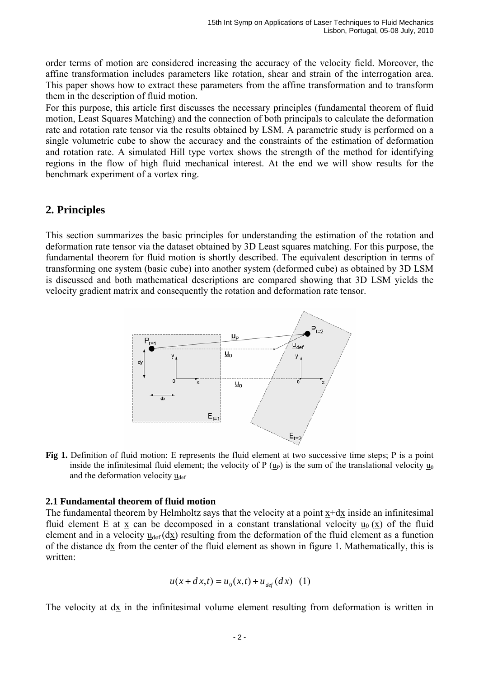order terms of motion are considered increasing the accuracy of the velocity field. Moreover, the affine transformation includes parameters like rotation, shear and strain of the interrogation area. This paper shows how to extract these parameters from the affine transformation and to transform them in the description of fluid motion.

For this purpose, this article first discusses the necessary principles (fundamental theorem of fluid motion, Least Squares Matching) and the connection of both principals to calculate the deformation rate and rotation rate tensor via the results obtained by LSM. A parametric study is performed on a single volumetric cube to show the accuracy and the constraints of the estimation of deformation and rotation rate. A simulated Hill type vortex shows the strength of the method for identifying regions in the flow of high fluid mechanical interest. At the end we will show results for the benchmark experiment of a vortex ring.

# **2. Principles**

This section summarizes the basic principles for understanding the estimation of the rotation and deformation rate tensor via the dataset obtained by 3D Least squares matching. For this purpose, the fundamental theorem for fluid motion is shortly described. The equivalent description in terms of transforming one system (basic cube) into another system (deformed cube) as obtained by 3D LSM is discussed and both mathematical descriptions are compared showing that 3D LSM yields the velocity gradient matrix and consequently the rotation and deformation rate tensor.



**Fig 1.** Definition of fluid motion: E represents the fluid element at two successive time steps; P is a point inside the infinitesimal fluid element; the velocity of P  $(u_P)$  is the sum of the translational velocity  $u_0$ and the deformation velocity  $u_{\text{def}}$ 

#### **2.1 Fundamental theorem of fluid motion**

The fundamental theorem by Helmholtz says that the velocity at a point  $x+dx$  inside an infinitesimal fluid element E at x can be decomposed in a constant translational velocity  $u_0(x)$  of the fluid element and in a velocity  $u_{def}(dx)$  resulting from the deformation of the fluid element as a function of the distance  $dx$  from the center of the fluid element as shown in figure 1. Mathematically, this is written:

$$
\underline{u}(\underline{x} + d\underline{x}, t) = \underline{u}_0(\underline{x}, t) + \underline{u}_{def}(d\underline{x}) \quad (1)
$$

The velocity at dx in the infinitesimal volume element resulting from deformation is written in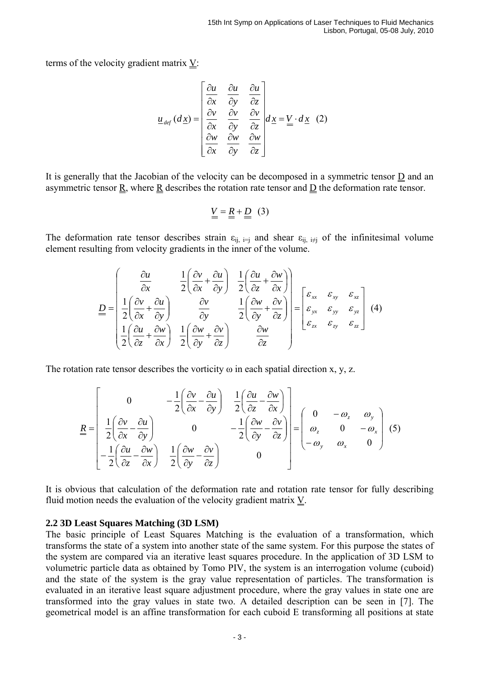terms of the velocity gradient matrix  $V$ :

$$
\underline{u}_{def}(d\underline{x}) = \begin{bmatrix} \frac{\partial u}{\partial x} & \frac{\partial u}{\partial y} & \frac{\partial u}{\partial z} \\ \frac{\partial v}{\partial x} & \frac{\partial v}{\partial y} & \frac{\partial v}{\partial z} \\ \frac{\partial w}{\partial x} & \frac{\partial w}{\partial y} & \frac{\partial w}{\partial z} \end{bmatrix} d\underline{x} = \underline{V} \cdot d \underline{x} \quad (2)
$$

It is generally that the Jacobian of the velocity can be decomposed in a symmetric tensor  $\underline{D}$  and an asymmetric tensor  $\underline{R}$ , where  $\underline{R}$  describes the rotation rate tensor and  $\underline{D}$  the deformation rate tensor.

$$
\underline{V} = \underline{R} + \underline{D} \quad (3)
$$

The deformation rate tensor describes strain  $\varepsilon_{ij}$  i=j and shear  $\varepsilon_{ij}$  i≠j of the infinitesimal volume element resulting from velocity gradients in the inner of the volume.

$$
\underline{D} = \begin{bmatrix} \frac{\partial u}{\partial x} & \frac{1}{2} \left( \frac{\partial v}{\partial x} + \frac{\partial u}{\partial y} \right) & \frac{1}{2} \left( \frac{\partial u}{\partial z} + \frac{\partial w}{\partial x} \right) \\ \frac{1}{2} \left( \frac{\partial v}{\partial x} + \frac{\partial u}{\partial y} \right) & \frac{\partial v}{\partial y} & \frac{1}{2} \left( \frac{\partial w}{\partial y} + \frac{\partial v}{\partial z} \right) \\ \frac{1}{2} \left( \frac{\partial u}{\partial z} + \frac{\partial w}{\partial x} \right) & \frac{1}{2} \left( \frac{\partial w}{\partial y} + \frac{\partial v}{\partial z} \right) & \frac{\partial w}{\partial z} \end{bmatrix} = \begin{bmatrix} \varepsilon_{xx} & \varepsilon_{xy} & \varepsilon_{xz} \\ \varepsilon_{yx} & \varepsilon_{yy} & \varepsilon_{yz} \\ \varepsilon_{zx} & \varepsilon_{zy} & \varepsilon_{zz} \end{bmatrix}
$$
(4)

The rotation rate tensor describes the vorticity  $\omega$  in each spatial direction x, y, z.

$$
\underline{R} = \begin{bmatrix} 0 & -\frac{1}{2} \left( \frac{\partial v}{\partial x} - \frac{\partial u}{\partial y} \right) & \frac{1}{2} \left( \frac{\partial u}{\partial z} - \frac{\partial w}{\partial x} \right) \\ \frac{1}{2} \left( \frac{\partial v}{\partial x} - \frac{\partial u}{\partial y} \right) & 0 & -\frac{1}{2} \left( \frac{\partial w}{\partial y} - \frac{\partial v}{\partial z} \right) \\ -\frac{1}{2} \left( \frac{\partial u}{\partial z} - \frac{\partial w}{\partial x} \right) & \frac{1}{2} \left( \frac{\partial w}{\partial y} - \frac{\partial v}{\partial z} \right) & 0 \end{bmatrix} = \begin{bmatrix} 0 & -\omega_z & \omega_y \\ \omega_z & 0 & -\omega_x \\ -\omega_y & \omega_x & 0 \end{bmatrix} (5)
$$

It is obvious that calculation of the deformation rate and rotation rate tensor for fully describing fluid motion needs the evaluation of the velocity gradient matrix  $Y$ .

#### **2.2 3D Least Squares Matching (3D LSM)**

The basic principle of Least Squares Matching is the evaluation of a transformation, which transforms the state of a system into another state of the same system. For this purpose the states of the system are compared via an iterative least squares procedure. In the application of 3D LSM to volumetric particle data as obtained by Tomo PIV, the system is an interrogation volume (cuboid) and the state of the system is the gray value representation of particles. The transformation is evaluated in an iterative least square adjustment procedure, where the gray values in state one are transformed into the gray values in state two. A detailed description can be seen in [7]. The geometrical model is an affine transformation for each cuboid E transforming all positions at state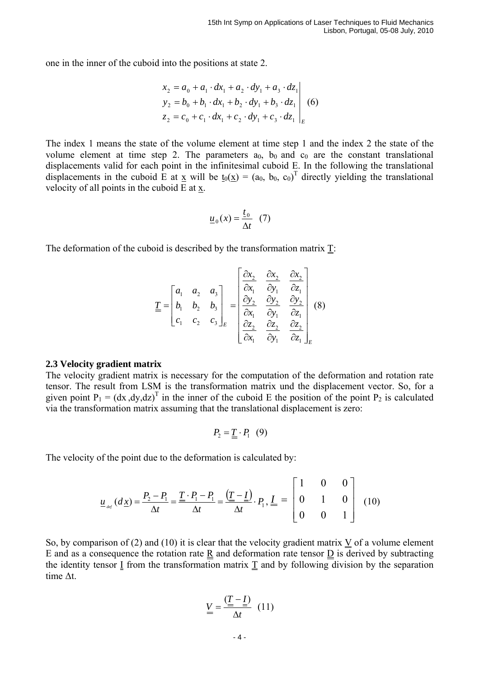one in the inner of the cuboid into the positions at state 2.

$$
\begin{aligned}\nx_2 &= a_0 + a_1 \cdot dx_1 + a_2 \cdot dy_1 + a_3 \cdot dz_1 \\
y_2 &= b_0 + b_1 \cdot dx_1 + b_2 \cdot dy_1 + b_3 \cdot dz_1 \\
z_2 &= c_0 + c_1 \cdot dx_1 + c_2 \cdot dy_1 + c_3 \cdot dz_1\n\end{aligned}\n\tag{6}
$$

The index 1 means the state of the volume element at time step 1 and the index 2 the state of the volume element at time step 2. The parameters  $a_0$ ,  $b_0$  and  $c_0$  are the constant translational displacements valid for each point in the infinitesimal cuboid E. In the following the translational displacements in the cuboid E at  $\underline{x}$  will be  $\underline{t}_0(\underline{x}) = (a_0, b_0, c_0)^T$  directly yielding the translational velocity of all points in the cuboid  $E$  at  $\underline{x}$ .

$$
\underline{u}_0(x) = \frac{\underline{t}_0}{\Delta t} \quad (7)
$$

The deformation of the cuboid is described by the transformation matrix  $T$ :

$$
\underline{\underline{T}} = \begin{bmatrix} a_1 & a_2 & a_3 \\ b_1 & b_2 & b_3 \\ c_1 & c_2 & c_3 \end{bmatrix}_E = \begin{bmatrix} \frac{\partial x_2}{\partial x_1} & \frac{\partial x_2}{\partial y_1} & \frac{\partial x_2}{\partial z_1} \\ \frac{\partial y_2}{\partial x_1} & \frac{\partial y_2}{\partial y_1} & \frac{\partial y_2}{\partial z_1} \\ \frac{\partial z_2}{\partial x_1} & \frac{\partial z_2}{\partial y_1} & \frac{\partial z_2}{\partial z_1} \end{bmatrix}_E
$$
(8)

#### **2.3 Velocity gradient matrix**

The velocity gradient matrix is necessary for the computation of the deformation and rotation rate tensor. The result from LSM is the transformation matrix und the displacement vector. So, for a given point  $P_1 = (dx, dy, dz)^T$  in the inner of the cuboid E the position of the point  $P_2$  is calculated via the transformation matrix assuming that the translational displacement is zero:

$$
P_2 = \underline{\underline{T}} \cdot P_1 \quad (9)
$$

The velocity of the point due to the deformation is calculated by:

$$
\underline{u}_{_{def}}(d\underline{x}) = \frac{P_2 - P_1}{\Delta t} = \frac{\underline{T} \cdot P_1 - P_1}{\Delta t} = \frac{(\underline{T} - \underline{I})}{\Delta t} \cdot P_1, \underline{I} = \begin{bmatrix} 1 & 0 & 0 \\ 0 & 1 & 0 \\ 0 & 0 & 1 \end{bmatrix}
$$
(10)

So, by comparison of (2) and (10) it is clear that the velocity gradient matrix V of a volume element E and as a consequence the rotation rate R and deformation rate tensor  $\overline{D}$  is derived by subtracting the identity tensor  $I$  from the transformation matrix  $I$  and by following division by the separation time ∆t.

$$
\underline{V} = \frac{(\underline{T} - \underline{I})}{\Delta t} \tag{11}
$$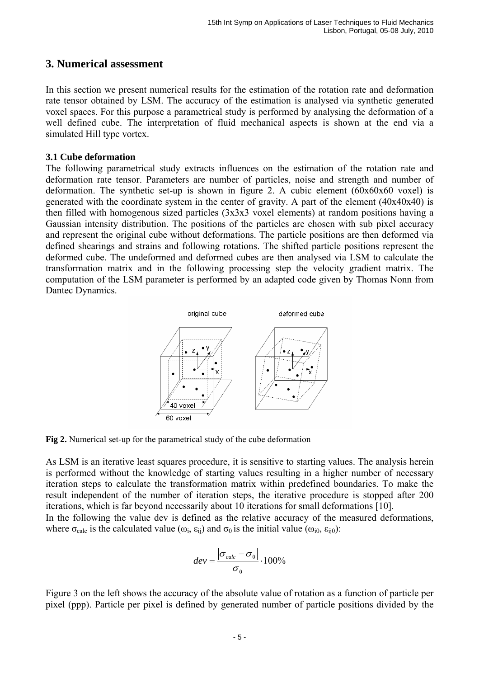### **3. Numerical assessment**

In this section we present numerical results for the estimation of the rotation rate and deformation rate tensor obtained by LSM. The accuracy of the estimation is analysed via synthetic generated voxel spaces. For this purpose a parametrical study is performed by analysing the deformation of a well defined cube. The interpretation of fluid mechanical aspects is shown at the end via a simulated Hill type vortex.

#### **3.1 Cube deformation**

The following parametrical study extracts influences on the estimation of the rotation rate and deformation rate tensor. Parameters are number of particles, noise and strength and number of deformation. The synthetic set-up is shown in figure 2. A cubic element (60x60x60 voxel) is generated with the coordinate system in the center of gravity. A part of the element (40x40x40) is then filled with homogenous sized particles (3x3x3 voxel elements) at random positions having a Gaussian intensity distribution. The positions of the particles are chosen with sub pixel accuracy and represent the original cube without deformations. The particle positions are then deformed via defined shearings and strains and following rotations. The shifted particle positions represent the deformed cube. The undeformed and deformed cubes are then analysed via LSM to calculate the transformation matrix and in the following processing step the velocity gradient matrix. The computation of the LSM parameter is performed by an adapted code given by Thomas Nonn from Dantec Dynamics.



**Fig 2.** Numerical set-up for the parametrical study of the cube deformation

As LSM is an iterative least squares procedure, it is sensitive to starting values. The analysis herein is performed without the knowledge of starting values resulting in a higher number of necessary iteration steps to calculate the transformation matrix within predefined boundaries. To make the result independent of the number of iteration steps, the iterative procedure is stopped after 200 iterations, which is far beyond necessarily about 10 iterations for small deformations [10].

In the following the value dev is defined as the relative accuracy of the measured deformations, where  $\sigma_{\text{calc}}$  is the calculated value  $(\omega_i, \varepsilon_{ij})$  and  $\sigma_0$  is the initial value  $(\omega_{i0}, \varepsilon_{ij0})$ :

$$
dev = \frac{|\sigma_{calc} - \sigma_0|}{\sigma_0} \cdot 100\%
$$

Figure 3 on the left shows the accuracy of the absolute value of rotation as a function of particle per pixel (ppp). Particle per pixel is defined by generated number of particle positions divided by the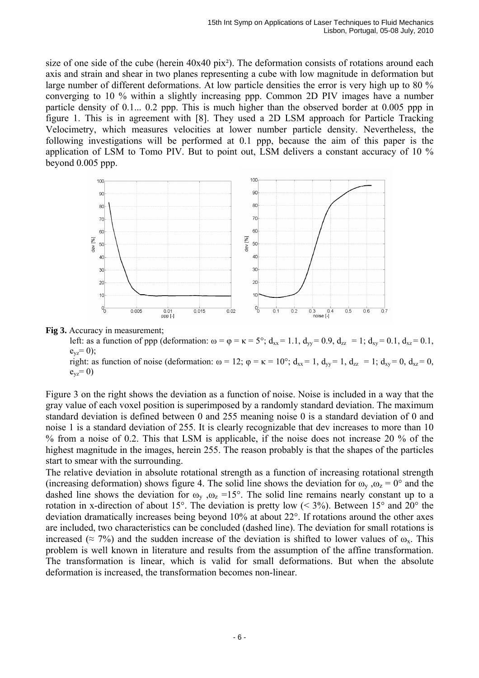size of one side of the cube (herein 40x40 pix²). The deformation consists of rotations around each axis and strain and shear in two planes representing a cube with low magnitude in deformation but large number of different deformations. At low particle densities the error is very high up to 80 % converging to 10 % within a slightly increasing ppp. Common 2D PIV images have a number particle density of 0.1... 0.2 ppp. This is much higher than the observed border at 0.005 ppp in figure 1. This is in agreement with [8]. They used a 2D LSM approach for Particle Tracking Velocimetry, which measures velocities at lower number particle density. Nevertheless, the following investigations will be performed at 0.1 ppp, because the aim of this paper is the application of LSM to Tomo PIV. But to point out, LSM delivers a constant accuracy of 10 % beyond 0.005 ppp.





left: as a function of ppp (deformation:  $\omega = \varphi = \kappa = 5^{\circ}$ ;  $d_{xx} = 1.1$ ,  $d_{yy} = 0.9$ ,  $d_{zz} = 1$ ;  $d_{xx} = 0.1$ ,  $d_{xz} = 0.1$ ,  $e_{yz} = 0$ );

right: as function of noise (deformation:  $\omega = 12$ ;  $\varphi = \kappa = 10^{\circ}$ ;  $d_{xx} = 1$ ,  $d_{yy} = 1$ ,  $d_{zz} = 1$ ;  $d_{xy} = 0$ ,  $d_{xz} = 0$ ,  $e_{yz} = 0$ )

Figure 3 on the right shows the deviation as a function of noise. Noise is included in a way that the gray value of each voxel position is superimposed by a randomly standard deviation. The maximum standard deviation is defined between 0 and 255 meaning noise 0 is a standard deviation of 0 and noise 1 is a standard deviation of 255. It is clearly recognizable that dev increases to more than 10 % from a noise of 0.2. This that LSM is applicable, if the noise does not increase 20 % of the highest magnitude in the images, herein 255. The reason probably is that the shapes of the particles start to smear with the surrounding.

The relative deviation in absolute rotational strength as a function of increasing rotational strength (increasing deformation) shows figure 4. The solid line shows the deviation for  $\omega_y$ ,  $\omega_z = 0^\circ$  and the dashed line shows the deviation for  $\omega_y$ ,  $\omega_z$  =15°. The solid line remains nearly constant up to a rotation in x-direction of about 15°. The deviation is pretty low (< 3%). Between 15° and 20° the deviation dramatically increases being beyond 10% at about 22°. If rotations around the other axes are included, two characteristics can be concluded (dashed line). The deviation for small rotations is increased ( $\approx$  7%) and the sudden increase of the deviation is shifted to lower values of  $\omega_{\rm x}$ . This problem is well known in literature and results from the assumption of the affine transformation. The transformation is linear, which is valid for small deformations. But when the absolute deformation is increased, the transformation becomes non-linear.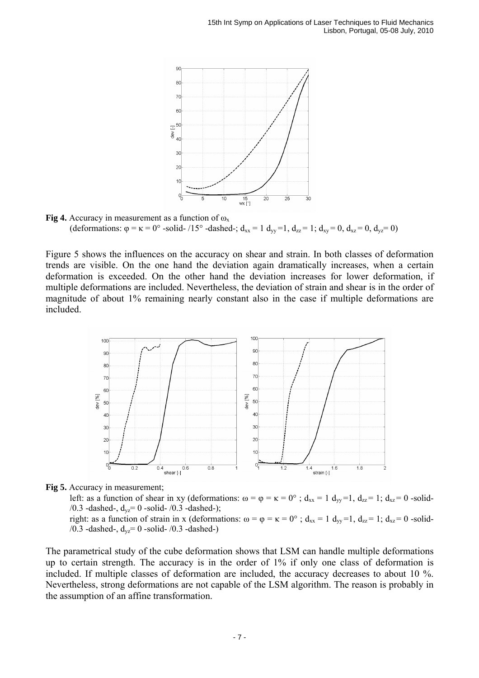

**Fig 4.** Accuracy in measurement as a function of  $\omega_x$ (deformations:  $\varphi = \kappa = 0^{\circ}$  -solid- /15° -dashed-;  $d_{xx} = 1 d_{yy} = 1$ ,  $d_{zz} = 1$ ;  $d_{xy} = 0$ ,  $d_{xz} = 0$ ,  $d_{yz} = 0$ )

Figure 5 shows the influences on the accuracy on shear and strain. In both classes of deformation trends are visible. On the one hand the deviation again dramatically increases, when a certain deformation is exceeded. On the other hand the deviation increases for lower deformation, if multiple deformations are included. Nevertheless, the deviation of strain and shear is in the order of magnitude of about 1% remaining nearly constant also in the case if multiple deformations are included.





left: as a function of shear in xy (deformations:  $\omega = \varphi = \kappa = 0^{\circ}$ ;  $d_{xx} = 1$ ,  $d_{yy} = 1$ ,  $d_{zz} = 1$ ;  $d_{xz} = 0$  -solid-/0.3 -dashed-,  $d_{vz}$ = 0 -solid- /0.3 -dashed-);

right: as a function of strain in x (deformations:  $\omega = \varphi = \kappa = 0^{\circ}$ ;  $d_{xx} = 1$ ,  $d_{yy} = 1$ ,  $d_{zz} = 1$ ;  $d_{xz} = 0$  -solid-/0.3 -dashed-,  $d_{yz} = 0$  -solid- /0.3 -dashed-)

The parametrical study of the cube deformation shows that LSM can handle multiple deformations up to certain strength. The accuracy is in the order of 1% if only one class of deformation is included. If multiple classes of deformation are included, the accuracy decreases to about 10 %. Nevertheless, strong deformations are not capable of the LSM algorithm. The reason is probably in the assumption of an affine transformation.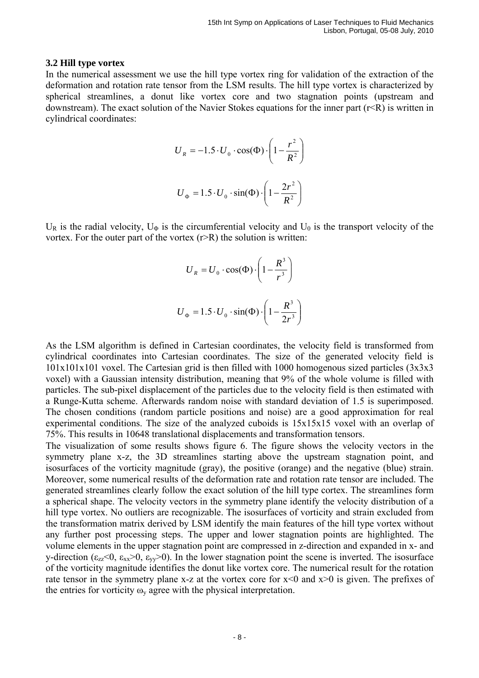#### **3.2 Hill type vortex**

In the numerical assessment we use the hill type vortex ring for validation of the extraction of the deformation and rotation rate tensor from the LSM results. The hill type vortex is characterized by spherical streamlines, a donut like vortex core and two stagnation points (upstream and downstream). The exact solution of the Navier Stokes equations for the inner part  $(r < R)$  is written in cylindrical coordinates:

$$
U_R = -1.5 \cdot U_0 \cdot \cos(\Phi) \cdot \left(1 - \frac{r^2}{R^2}\right)
$$

$$
U_{\Phi} = 1.5 \cdot U_0 \cdot \sin(\Phi) \cdot \left(1 - \frac{2r^2}{R^2}\right)
$$

 $U_R$  is the radial velocity,  $U_\Phi$  is the circumferential velocity and  $U_0$  is the transport velocity of the vortex. For the outer part of the vortex  $(r > R)$  the solution is written:

$$
U_R = U_0 \cdot \cos(\Phi) \cdot \left(1 - \frac{R^3}{r^3}\right)
$$
  

$$
U_{\Phi} = 1.5 \cdot U_0 \cdot \sin(\Phi) \cdot \left(1 - \frac{R^3}{2r^3}\right)
$$

As the LSM algorithm is defined in Cartesian coordinates, the velocity field is transformed from cylindrical coordinates into Cartesian coordinates. The size of the generated velocity field is 101x101x101 voxel. The Cartesian grid is then filled with 1000 homogenous sized particles (3x3x3 voxel) with a Gaussian intensity distribution, meaning that 9% of the whole volume is filled with particles. The sub-pixel displacement of the particles due to the velocity field is then estimated with a Runge-Kutta scheme. Afterwards random noise with standard deviation of 1.5 is superimposed. The chosen conditions (random particle positions and noise) are a good approximation for real experimental conditions. The size of the analyzed cuboids is 15x15x15 voxel with an overlap of 75%. This results in 10648 translational displacements and transformation tensors.

The visualization of some results shows figure 6. The figure shows the velocity vectors in the symmetry plane x-z, the 3D streamlines starting above the upstream stagnation point, and isosurfaces of the vorticity magnitude (gray), the positive (orange) and the negative (blue) strain. Moreover, some numerical results of the deformation rate and rotation rate tensor are included. The generated streamlines clearly follow the exact solution of the hill type cortex. The streamlines form a spherical shape. The velocity vectors in the symmetry plane identify the velocity distribution of a hill type vortex. No outliers are recognizable. The isosurfaces of vorticity and strain excluded from the transformation matrix derived by LSM identify the main features of the hill type vortex without any further post processing steps. The upper and lower stagnation points are highlighted. The volume elements in the upper stagnation point are compressed in z-direction and expanded in x- and y-direction ( $\epsilon_{zz}$ <0,  $\epsilon_{xx}$ >0,  $\epsilon_{yy}$ >0). In the lower stagnation point the scene is inverted. The isosurface of the vorticity magnitude identifies the donut like vortex core. The numerical result for the rotation rate tensor in the symmetry plane x-z at the vortex core for  $x \le 0$  and  $x \ge 0$  is given. The prefixes of the entries for vorticity  $\omega_{v}$  agree with the physical interpretation.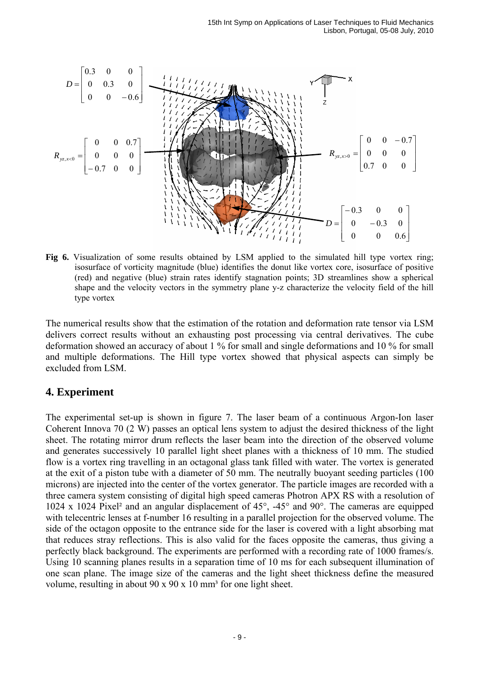

**Fig 6.** Visualization of some results obtained by LSM applied to the simulated hill type vortex ring; isosurface of vorticity magnitude (blue) identifies the donut like vortex core, isosurface of positive (red) and negative (blue) strain rates identify stagnation points; 3D streamlines show a spherical shape and the velocity vectors in the symmetry plane y-z characterize the velocity field of the hill type vortex

The numerical results show that the estimation of the rotation and deformation rate tensor via LSM delivers correct results without an exhausting post processing via central derivatives. The cube deformation showed an accuracy of about 1 % for small and single deformations and 10 % for small and multiple deformations. The Hill type vortex showed that physical aspects can simply be excluded from LSM.

# **4. Experiment**

The experimental set-up is shown in figure 7. The laser beam of a continuous Argon-Ion laser Coherent Innova 70 (2 W) passes an optical lens system to adjust the desired thickness of the light sheet. The rotating mirror drum reflects the laser beam into the direction of the observed volume and generates successively 10 parallel light sheet planes with a thickness of 10 mm. The studied flow is a vortex ring travelling in an octagonal glass tank filled with water. The vortex is generated at the exit of a piston tube with a diameter of 50 mm. The neutrally buoyant seeding particles (100 microns) are injected into the center of the vortex generator. The particle images are recorded with a three camera system consisting of digital high speed cameras Photron APX RS with a resolution of 1024 x 1024 Pixel² and an angular displacement of 45°, -45° and 90°. The cameras are equipped with telecentric lenses at f-number 16 resulting in a parallel projection for the observed volume. The side of the octagon opposite to the entrance side for the laser is covered with a light absorbing mat that reduces stray reflections. This is also valid for the faces opposite the cameras, thus giving a perfectly black background. The experiments are performed with a recording rate of 1000 frames/s. Using 10 scanning planes results in a separation time of 10 ms for each subsequent illumination of one scan plane. The image size of the cameras and the light sheet thickness define the measured volume, resulting in about 90 x 90 x 10 mm<sup>3</sup> for one light sheet.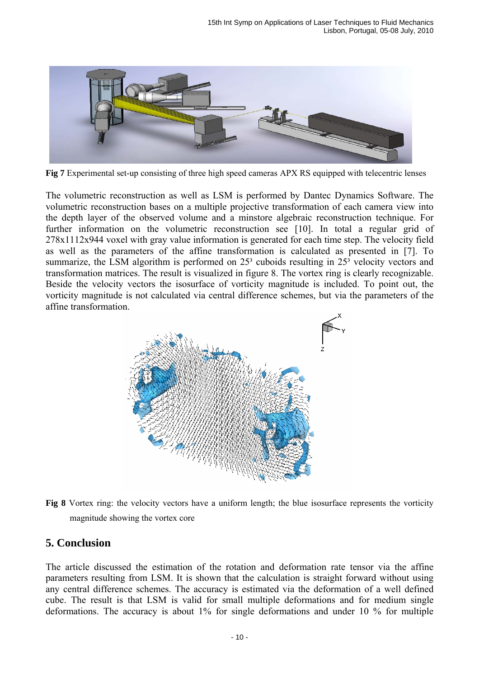

**Fig 7** Experimental set-up consisting of three high speed cameras APX RS equipped with telecentric lenses

The volumetric reconstruction as well as LSM is performed by Dantec Dynamics Software. The volumetric reconstruction bases on a multiple projective transformation of each camera view into the depth layer of the observed volume and a minstore algebraic reconstruction technique. For further information on the volumetric reconstruction see [10]. In total a regular grid of 278x1112x944 voxel with gray value information is generated for each time step. The velocity field as well as the parameters of the affine transformation is calculated as presented in [7]. To summarize, the LSM algorithm is performed on  $25<sup>3</sup>$  cuboids resulting in  $25<sup>3</sup>$  velocity vectors and transformation matrices. The result is visualized in figure 8. The vortex ring is clearly recognizable. Beside the velocity vectors the isosurface of vorticity magnitude is included. To point out, the vorticity magnitude is not calculated via central difference schemes, but via the parameters of the affine transformation.



**Fig 8** Vortex ring: the velocity vectors have a uniform length; the blue isosurface represents the vorticity magnitude showing the vortex core

#### **5. Conclusion**

The article discussed the estimation of the rotation and deformation rate tensor via the affine parameters resulting from LSM. It is shown that the calculation is straight forward without using any central difference schemes. The accuracy is estimated via the deformation of a well defined cube. The result is that LSM is valid for small multiple deformations and for medium single deformations. The accuracy is about 1% for single deformations and under 10 % for multiple